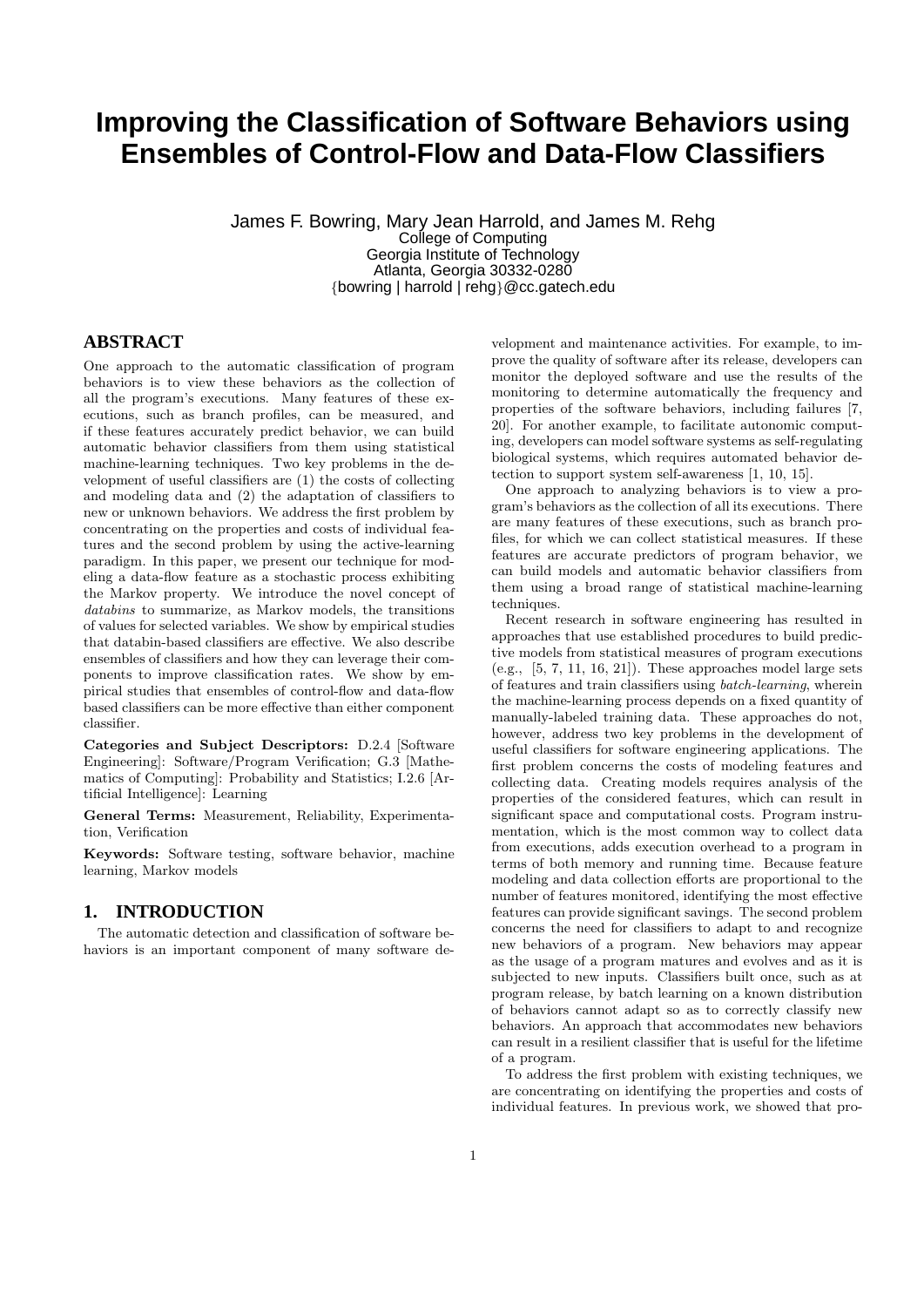# **Improving the Classification of Software Behaviors using Ensembles of Control-Flow and Data-Flow Classifiers**

James F. Bowring, Mary Jean Harrold, and James M. Rehg College of Computing Georgia Institute of Technology Atlanta, Georgia 30332-0280 {bowring | harrold | rehg}@cc.gatech.edu

# **ABSTRACT**

One approach to the automatic classification of program behaviors is to view these behaviors as the collection of all the program's executions. Many features of these executions, such as branch profiles, can be measured, and if these features accurately predict behavior, we can build automatic behavior classifiers from them using statistical machine-learning techniques. Two key problems in the development of useful classifiers are (1) the costs of collecting and modeling data and (2) the adaptation of classifiers to new or unknown behaviors. We address the first problem by concentrating on the properties and costs of individual features and the second problem by using the active-learning paradigm. In this paper, we present our technique for modeling a data-flow feature as a stochastic process exhibiting the Markov property. We introduce the novel concept of databins to summarize, as Markov models, the transitions of values for selected variables. We show by empirical studies that databin-based classifiers are effective. We also describe ensembles of classifiers and how they can leverage their components to improve classification rates. We show by empirical studies that ensembles of control-flow and data-flow based classifiers can be more effective than either component classifier.

Categories and Subject Descriptors: D.2.4 [Software Engineering]: Software/Program Verification; G.3 [Mathematics of Computing]: Probability and Statistics; I.2.6 [Artificial Intelligence]: Learning

General Terms: Measurement, Reliability, Experimentation, Verification

Keywords: Software testing, software behavior, machine learning, Markov models

# **1. INTRODUCTION**

The automatic detection and classification of software behaviors is an important component of many software de-

velopment and maintenance activities. For example, to improve the quality of software after its release, developers can monitor the deployed software and use the results of the monitoring to determine automatically the frequency and properties of the software behaviors, including failures [7, 20]. For another example, to facilitate autonomic computing, developers can model software systems as self-regulating biological systems, which requires automated behavior detection to support system self-awareness [1, 10, 15].

One approach to analyzing behaviors is to view a program's behaviors as the collection of all its executions. There are many features of these executions, such as branch profiles, for which we can collect statistical measures. If these features are accurate predictors of program behavior, we can build models and automatic behavior classifiers from them using a broad range of statistical machine-learning techniques.

Recent research in software engineering has resulted in approaches that use established procedures to build predictive models from statistical measures of program executions (e.g.,  $[5, 7, 11, 16, 21]$ ). These approaches model large sets of features and train classifiers using batch-learning, wherein the machine-learning process depends on a fixed quantity of manually-labeled training data. These approaches do not, however, address two key problems in the development of useful classifiers for software engineering applications. The first problem concerns the costs of modeling features and collecting data. Creating models requires analysis of the properties of the considered features, which can result in significant space and computational costs. Program instrumentation, which is the most common way to collect data from executions, adds execution overhead to a program in terms of both memory and running time. Because feature modeling and data collection efforts are proportional to the number of features monitored, identifying the most effective features can provide significant savings. The second problem concerns the need for classifiers to adapt to and recognize new behaviors of a program. New behaviors may appear as the usage of a program matures and evolves and as it is subjected to new inputs. Classifiers built once, such as at program release, by batch learning on a known distribution of behaviors cannot adapt so as to correctly classify new behaviors. An approach that accommodates new behaviors can result in a resilient classifier that is useful for the lifetime of a program.

To address the first problem with existing techniques, we are concentrating on identifying the properties and costs of individual features. In previous work, we showed that pro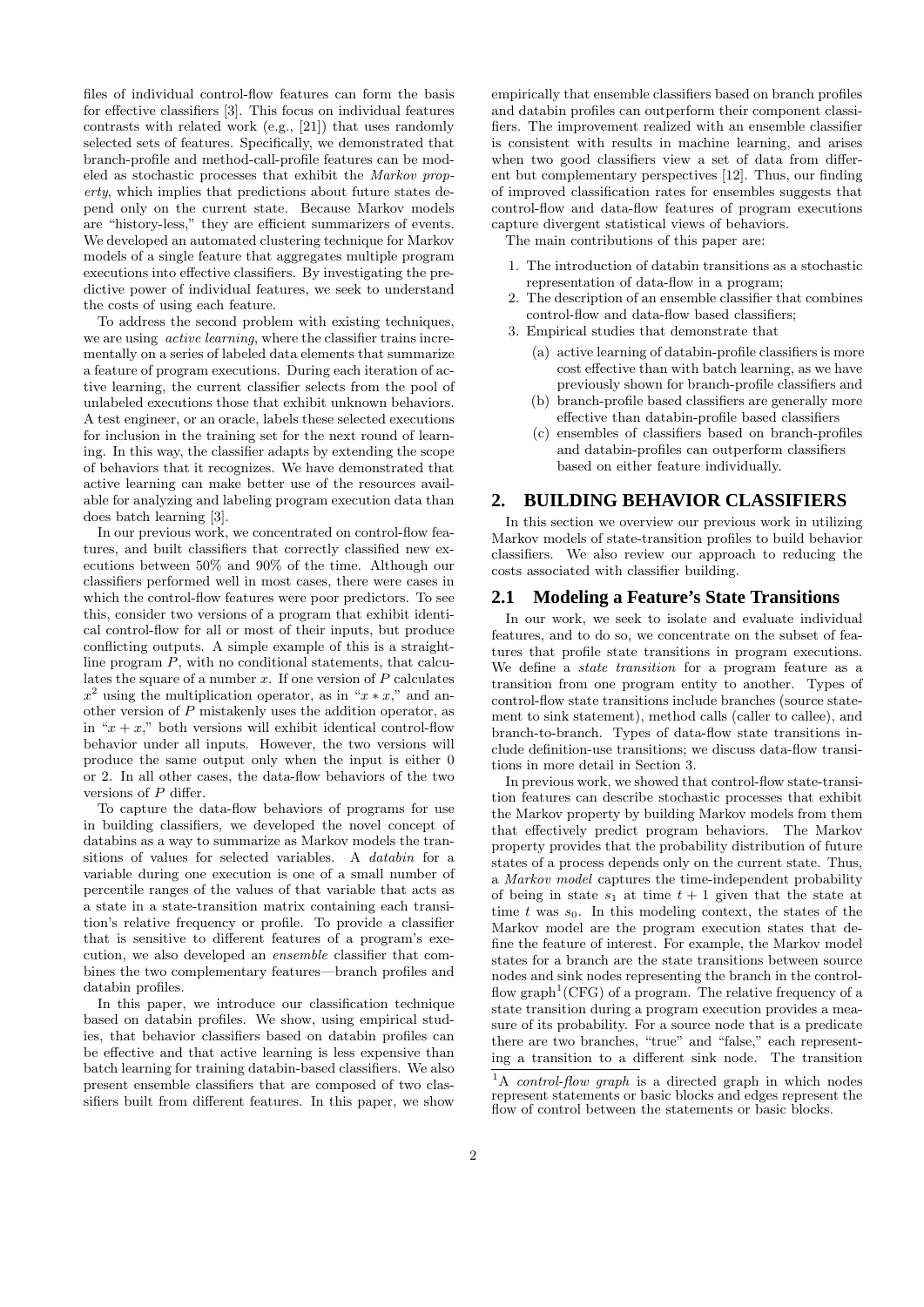files of individual control-flow features can form the basis for effective classifiers [3]. This focus on individual features contrasts with related work (e.g., [21]) that uses randomly selected sets of features. Specifically, we demonstrated that branch-profile and method-call-profile features can be modeled as stochastic processes that exhibit the Markov property, which implies that predictions about future states depend only on the current state. Because Markov models are "history-less," they are efficient summarizers of events. We developed an automated clustering technique for Markov models of a single feature that aggregates multiple program executions into effective classifiers. By investigating the predictive power of individual features, we seek to understand the costs of using each feature.

To address the second problem with existing techniques, we are using active learning, where the classifier trains incrementally on a series of labeled data elements that summarize a feature of program executions. During each iteration of active learning, the current classifier selects from the pool of unlabeled executions those that exhibit unknown behaviors. A test engineer, or an oracle, labels these selected executions for inclusion in the training set for the next round of learning. In this way, the classifier adapts by extending the scope of behaviors that it recognizes. We have demonstrated that active learning can make better use of the resources available for analyzing and labeling program execution data than does batch learning [3].

In our previous work, we concentrated on control-flow features, and built classifiers that correctly classified new executions between 50% and 90% of the time. Although our classifiers performed well in most cases, there were cases in which the control-flow features were poor predictors. To see this, consider two versions of a program that exhibit identical control-flow for all or most of their inputs, but produce conflicting outputs. A simple example of this is a straightline program P, with no conditional statements, that calculates the square of a number  $x$ . If one version of  $P$  calculates  $x^2$  using the multiplication operator, as in " $x * x$ ," and another version of P mistakenly uses the addition operator, as in " $x + x$ ," both versions will exhibit identical control-flow behavior under all inputs. However, the two versions will produce the same output only when the input is either 0 or 2. In all other cases, the data-flow behaviors of the two versions of P differ.

To capture the data-flow behaviors of programs for use in building classifiers, we developed the novel concept of databins as a way to summarize as Markov models the transitions of values for selected variables. A databin for a variable during one execution is one of a small number of percentile ranges of the values of that variable that acts as a state in a state-transition matrix containing each transition's relative frequency or profile. To provide a classifier that is sensitive to different features of a program's execution, we also developed an ensemble classifier that combines the two complementary features—branch profiles and databin profiles.

In this paper, we introduce our classification technique based on databin profiles. We show, using empirical studies, that behavior classifiers based on databin profiles can be effective and that active learning is less expensive than batch learning for training databin-based classifiers. We also present ensemble classifiers that are composed of two classifiers built from different features. In this paper, we show

empirically that ensemble classifiers based on branch profiles and databin profiles can outperform their component classifiers. The improvement realized with an ensemble classifier is consistent with results in machine learning, and arises when two good classifiers view a set of data from different but complementary perspectives [12]. Thus, our finding of improved classification rates for ensembles suggests that control-flow and data-flow features of program executions capture divergent statistical views of behaviors.

The main contributions of this paper are:

- 1. The introduction of databin transitions as a stochastic representation of data-flow in a program;
- 2. The description of an ensemble classifier that combines control-flow and data-flow based classifiers;
- 3. Empirical studies that demonstrate that
	- (a) active learning of databin-profile classifiers is more cost effective than with batch learning, as we have previously shown for branch-profile classifiers and
	- (b) branch-profile based classifiers are generally more effective than databin-profile based classifiers
	- (c) ensembles of classifiers based on branch-profiles and databin-profiles can outperform classifiers based on either feature individually.

## **2. BUILDING BEHAVIOR CLASSIFIERS**

In this section we overview our previous work in utilizing Markov models of state-transition profiles to build behavior classifiers. We also review our approach to reducing the costs associated with classifier building.

#### **2.1 Modeling a Feature's State Transitions**

In our work, we seek to isolate and evaluate individual features, and to do so, we concentrate on the subset of features that profile state transitions in program executions. We define a state transition for a program feature as a transition from one program entity to another. Types of control-flow state transitions include branches (source statement to sink statement), method calls (caller to callee), and branch-to-branch. Types of data-flow state transitions include definition-use transitions; we discuss data-flow transitions in more detail in Section 3.

In previous work, we showed that control-flow state-transition features can describe stochastic processes that exhibit the Markov property by building Markov models from them that effectively predict program behaviors. The Markov property provides that the probability distribution of future states of a process depends only on the current state. Thus, a Markov model captures the time-independent probability of being in state  $s_1$  at time  $t + 1$  given that the state at time t was  $s_0$ . In this modeling context, the states of the Markov model are the program execution states that define the feature of interest. For example, the Markov model states for a branch are the state transitions between source nodes and sink nodes representing the branch in the controlflow  $graph^1(CFG)$  of a program. The relative frequency of a state transition during a program execution provides a measure of its probability. For a source node that is a predicate there are two branches, "true" and "false," each representing a transition to a different sink node. The transition

 $\overline{A_{1A_{1}}}$  control-flow graph is a directed graph in which nodes represent statements or basic blocks and edges represent the flow of control between the statements or basic blocks.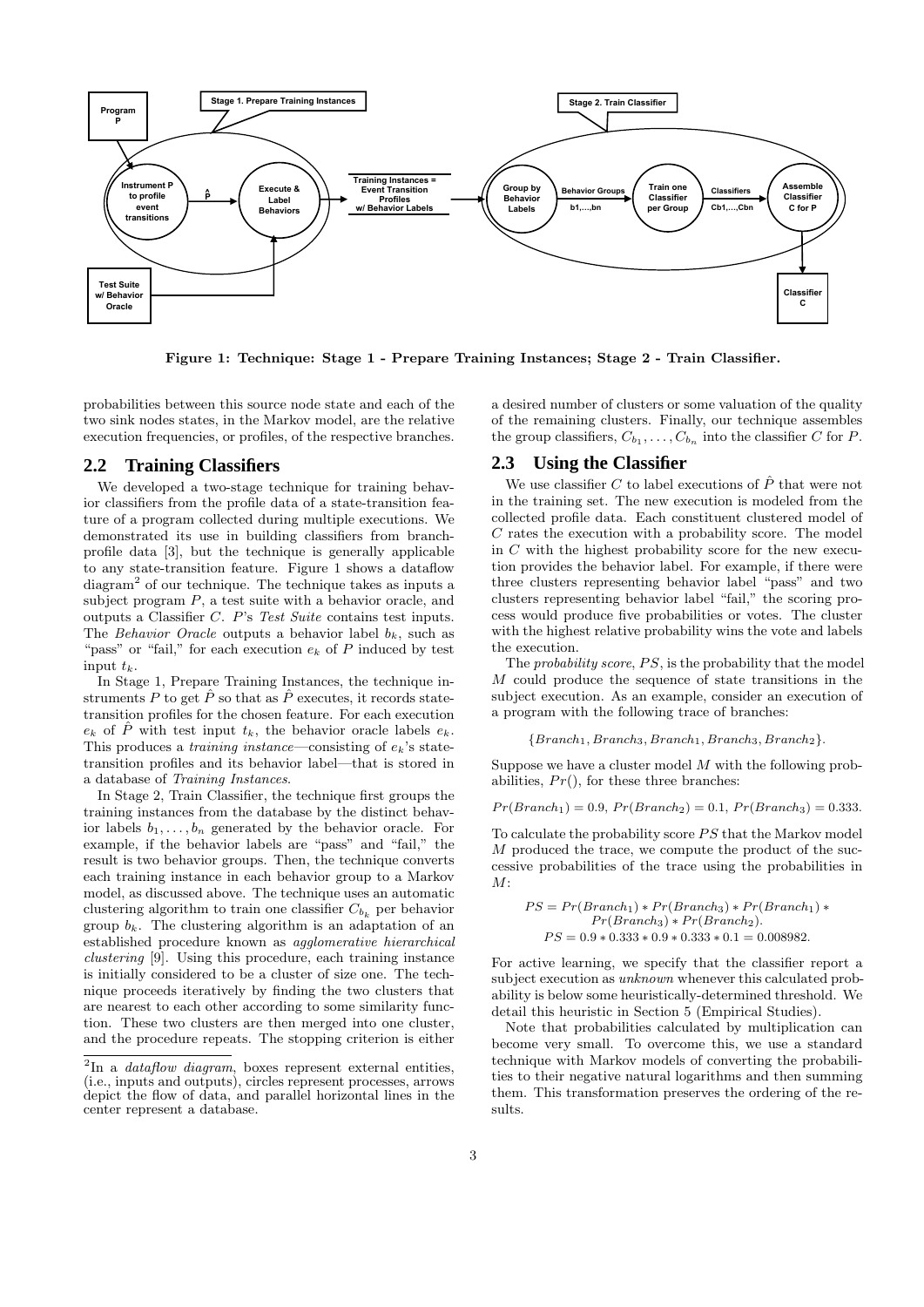

Figure 1: Technique: Stage 1 - Prepare Training Instances; Stage 2 - Train Classifier.

probabilities between this source node state and each of the two sink nodes states, in the Markov model, are the relative execution frequencies, or profiles, of the respective branches.

### **2.2 Training Classifiers**

We developed a two-stage technique for training behavior classifiers from the profile data of a state-transition feature of a program collected during multiple executions. We demonstrated its use in building classifiers from branchprofile data [3], but the technique is generally applicable to any state-transition feature. Figure 1 shows a dataflow diagram<sup>2</sup> of our technique. The technique takes as inputs a subject program  $P$ , a test suite with a behavior oracle, and outputs a Classifier C. P's Test Suite contains test inputs. The Behavior Oracle outputs a behavior label  $b_k$ , such as "pass" or "fail," for each execution  $e_k$  of P induced by test input  $t_k$ .

In Stage 1, Prepare Training Instances, the technique instruments P to get  $\hat{P}$  so that as  $\hat{P}$  executes, it records statetransition profiles for the chosen feature. For each execution  $e_k$  of P with test input  $t_k$ , the behavior oracle labels  $e_k$ . This produces a *training instance*—consisting of  $e_k$ 's statetransition profiles and its behavior label—that is stored in a database of Training Instances.

In Stage 2, Train Classifier, the technique first groups the training instances from the database by the distinct behavior labels  $b_1, \ldots, b_n$  generated by the behavior oracle. For example, if the behavior labels are "pass" and "fail," the result is two behavior groups. Then, the technique converts each training instance in each behavior group to a Markov model, as discussed above. The technique uses an automatic clustering algorithm to train one classifier  $C_{b_k}$  per behavior group  $b_k$ . The clustering algorithm is an adaptation of an established procedure known as agglomerative hierarchical clustering [9]. Using this procedure, each training instance is initially considered to be a cluster of size one. The technique proceeds iteratively by finding the two clusters that are nearest to each other according to some similarity function. These two clusters are then merged into one cluster, and the procedure repeats. The stopping criterion is either

a desired number of clusters or some valuation of the quality of the remaining clusters. Finally, our technique assembles the group classifiers,  $C_{b_1}, \ldots, C_{b_n}$  into the classifier C for P.

#### **2.3 Using the Classifier**

We use classifier C to label executions of  $\hat{P}$  that were not in the training set. The new execution is modeled from the collected profile data. Each constituent clustered model of C rates the execution with a probability score. The model in  $C$  with the highest probability score for the new execution provides the behavior label. For example, if there were three clusters representing behavior label "pass" and two clusters representing behavior label "fail," the scoring process would produce five probabilities or votes. The cluster with the highest relative probability wins the vote and labels the execution.

The *probability score, PS*, is the probability that the model M could produce the sequence of state transitions in the subject execution. As an example, consider an execution of a program with the following trace of branches:

#### ${Branch_1, Branch_3, Branch_1, Branch_3, Branch_2}.$

Suppose we have a cluster model  $M$  with the following probabilities,  $Pr()$ , for these three branches:

$$
Pr(Branch_1) = 0.9, Pr(Branch_2) = 0.1, Pr(Branch_3) = 0.333.
$$

To calculate the probability score  $PS$  that the Markov model M produced the trace, we compute the product of the successive probabilities of the trace using the probabilities in  $M^{\mathcal{L}}$ 

$$
PS = Pr(Branch1) * Pr(Branch3) * Pr(Branch1) *Pr(Branch3) * Pr(Branch2).
$$
  

$$
PS = 0.9 * 0.333 * 0.9 * 0.333 * 0.1 = 0.008982.
$$

For active learning, we specify that the classifier report a subject execution as unknown whenever this calculated probability is below some heuristically-determined threshold. We detail this heuristic in Section 5 (Empirical Studies).

Note that probabilities calculated by multiplication can become very small. To overcome this, we use a standard technique with Markov models of converting the probabilities to their negative natural logarithms and then summing them. This transformation preserves the ordering of the results.

 ${}^{2}$ In a *dataflow diagram*, boxes represent external entities, (i.e., inputs and outputs), circles represent processes, arrows depict the flow of data, and parallel horizontal lines in the center represent a database.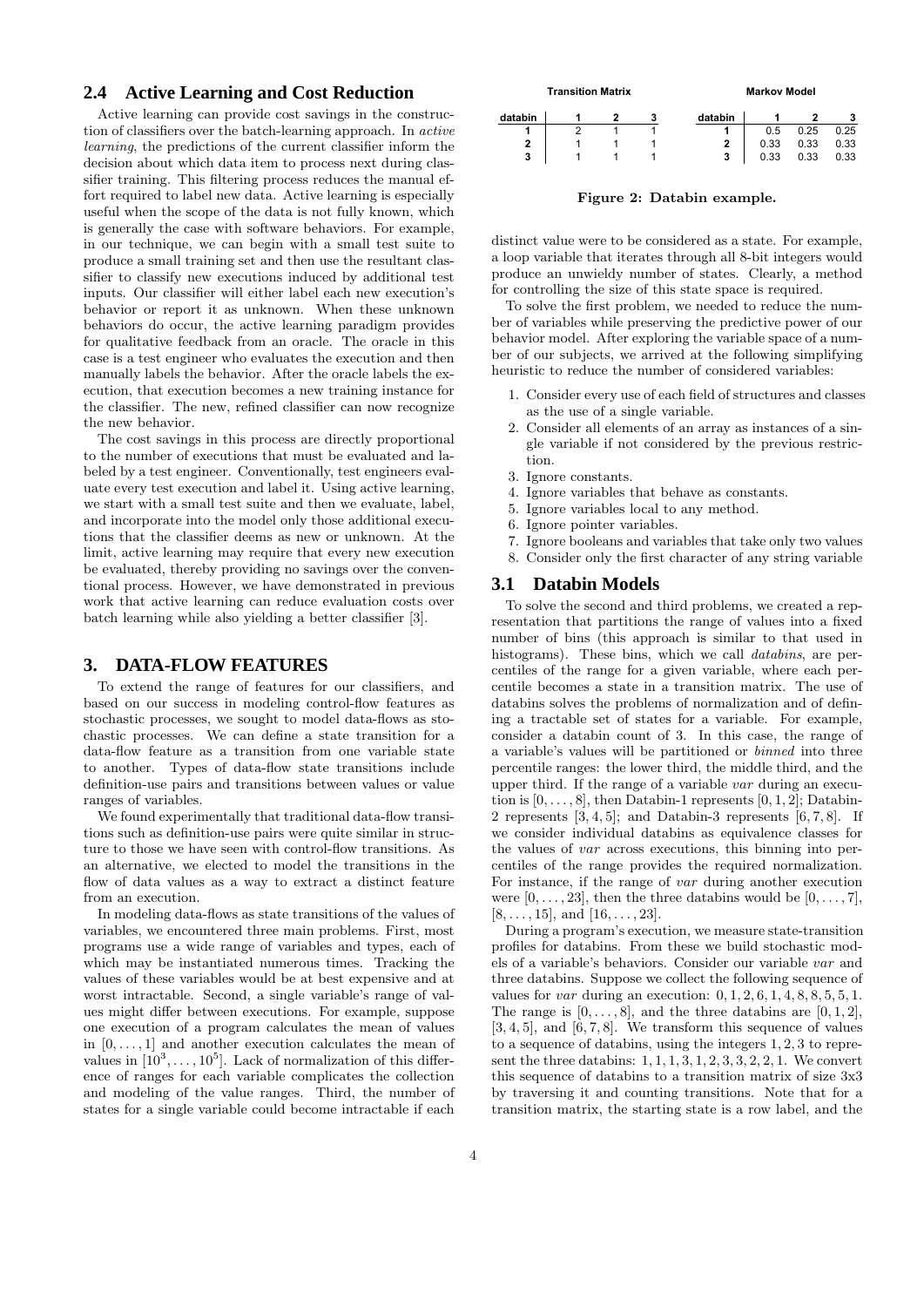## **2.4 Active Learning and Cost Reduction**

Active learning can provide cost savings in the construction of classifiers over the batch-learning approach. In active learning, the predictions of the current classifier inform the decision about which data item to process next during classifier training. This filtering process reduces the manual effort required to label new data. Active learning is especially useful when the scope of the data is not fully known, which is generally the case with software behaviors. For example, in our technique, we can begin with a small test suite to produce a small training set and then use the resultant classifier to classify new executions induced by additional test inputs. Our classifier will either label each new execution's behavior or report it as unknown. When these unknown behaviors do occur, the active learning paradigm provides for qualitative feedback from an oracle. The oracle in this case is a test engineer who evaluates the execution and then manually labels the behavior. After the oracle labels the execution, that execution becomes a new training instance for the classifier. The new, refined classifier can now recognize the new behavior.

The cost savings in this process are directly proportional to the number of executions that must be evaluated and labeled by a test engineer. Conventionally, test engineers evaluate every test execution and label it. Using active learning, we start with a small test suite and then we evaluate, label, and incorporate into the model only those additional executions that the classifier deems as new or unknown. At the limit, active learning may require that every new execution be evaluated, thereby providing no savings over the conventional process. However, we have demonstrated in previous work that active learning can reduce evaluation costs over batch learning while also yielding a better classifier [3].

## **3. DATA-FLOW FEATURES**

To extend the range of features for our classifiers, and based on our success in modeling control-flow features as stochastic processes, we sought to model data-flows as stochastic processes. We can define a state transition for a data-flow feature as a transition from one variable state to another. Types of data-flow state transitions include definition-use pairs and transitions between values or value ranges of variables.

We found experimentally that traditional data-flow transitions such as definition-use pairs were quite similar in structure to those we have seen with control-flow transitions. As an alternative, we elected to model the transitions in the flow of data values as a way to extract a distinct feature from an execution.

In modeling data-flows as state transitions of the values of variables, we encountered three main problems. First, most programs use a wide range of variables and types, each of which may be instantiated numerous times. Tracking the values of these variables would be at best expensive and at worst intractable. Second, a single variable's range of values might differ between executions. For example, suppose one execution of a program calculates the mean of values in  $[0, \ldots, 1]$  and another execution calculates the mean of values in  $[10^3, \ldots, 10^5]$ . Lack of normalization of this difference of ranges for each variable complicates the collection and modeling of the value ranges. Third, the number of states for a single variable could become intractable if each



Figure 2: Databin example.

distinct value were to be considered as a state. For example, a loop variable that iterates through all 8-bit integers would produce an unwieldy number of states. Clearly, a method for controlling the size of this state space is required.

To solve the first problem, we needed to reduce the number of variables while preserving the predictive power of our behavior model. After exploring the variable space of a number of our subjects, we arrived at the following simplifying heuristic to reduce the number of considered variables:

- 1. Consider every use of each field of structures and classes as the use of a single variable.
- 2. Consider all elements of an array as instances of a single variable if not considered by the previous restriction.
- 3. Ignore constants.
- 4. Ignore variables that behave as constants.
- 5. Ignore variables local to any method.
- 6. Ignore pointer variables.
- 7. Ignore booleans and variables that take only two values
- 8. Consider only the first character of any string variable

## **3.1 Databin Models**

To solve the second and third problems, we created a representation that partitions the range of values into a fixed number of bins (this approach is similar to that used in histograms). These bins, which we call *databins*, are percentiles of the range for a given variable, where each percentile becomes a state in a transition matrix. The use of databins solves the problems of normalization and of defining a tractable set of states for a variable. For example, consider a databin count of 3. In this case, the range of a variable's values will be partitioned or binned into three percentile ranges: the lower third, the middle third, and the upper third. If the range of a variable var during an execution is  $[0, \ldots, 8]$ , then Databin-1 represents  $[0, 1, 2]$ ; Databin-2 represents  $[3, 4, 5]$ ; and Databin-3 represents  $[6, 7, 8]$ . If we consider individual databins as equivalence classes for the values of var across executions, this binning into percentiles of the range provides the required normalization. For instance, if the range of var during another execution were  $[0, \ldots, 23]$ , then the three databins would be  $[0, \ldots, 7]$ ,  $[8, \ldots, 15]$ , and  $[16, \ldots, 23]$ .

During a program's execution, we measure state-transition profiles for databins. From these we build stochastic models of a variable's behaviors. Consider our variable var and three databins. Suppose we collect the following sequence of values for *var* during an execution:  $0, 1, 2, 6, 1, 4, 8, 8, 5, 5, 1$ . The range is  $[0, \ldots, 8]$ , and the three databins are  $[0, 1, 2]$ ,  $[3, 4, 5]$ , and  $[6, 7, 8]$ . We transform this sequence of values to a sequence of databins, using the integers 1, 2, 3 to represent the three databins:  $1, 1, 1, 3, 1, 2, 3, 3, 2, 2, 1$ . We convert this sequence of databins to a transition matrix of size 3x3 by traversing it and counting transitions. Note that for a transition matrix, the starting state is a row label, and the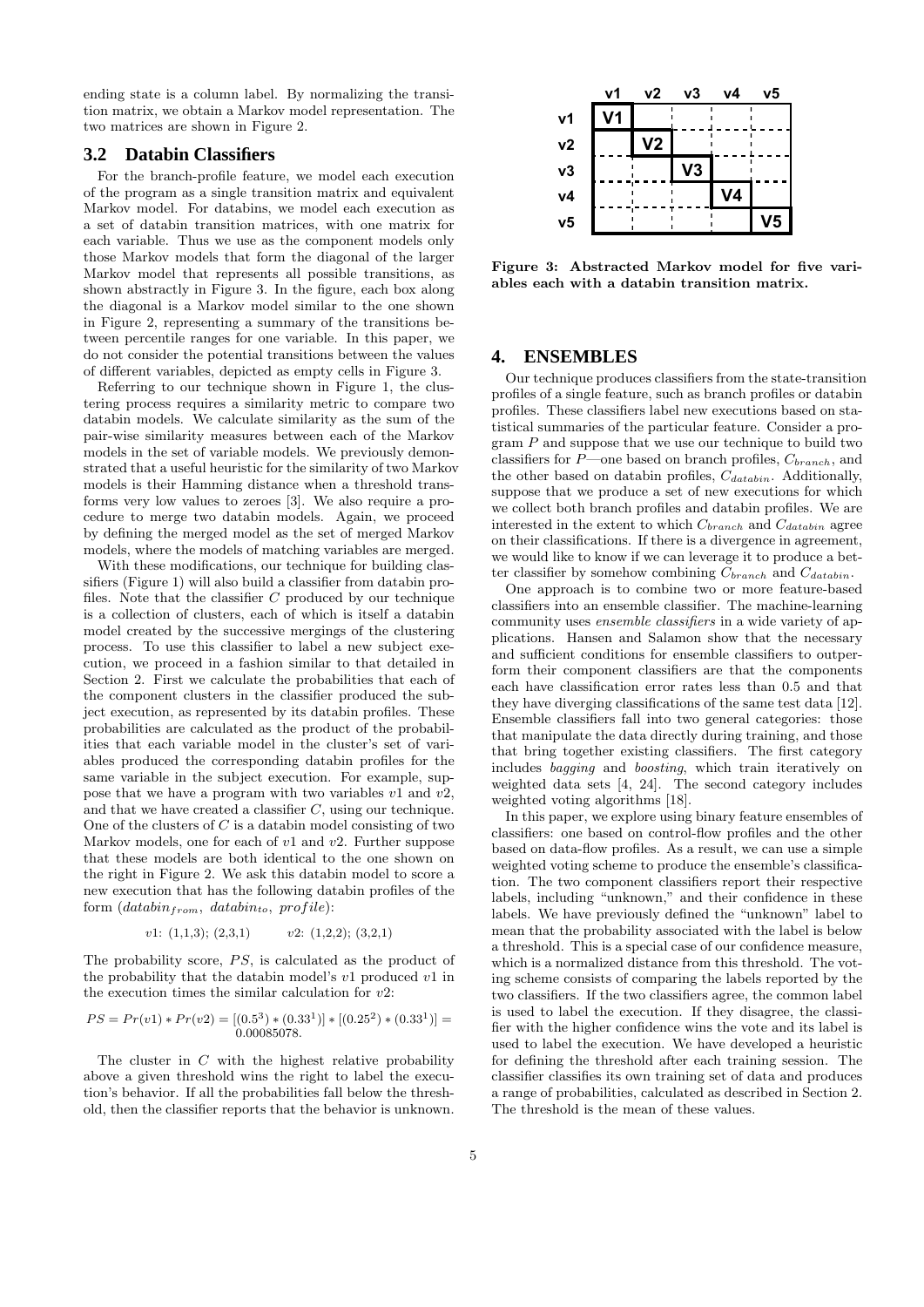ending state is a column label. By normalizing the transition matrix, we obtain a Markov model representation. The two matrices are shown in Figure 2.

#### **3.2 Databin Classifiers**

For the branch-profile feature, we model each execution of the program as a single transition matrix and equivalent Markov model. For databins, we model each execution as a set of databin transition matrices, with one matrix for each variable. Thus we use as the component models only those Markov models that form the diagonal of the larger Markov model that represents all possible transitions, as shown abstractly in Figure 3. In the figure, each box along the diagonal is a Markov model similar to the one shown in Figure 2, representing a summary of the transitions between percentile ranges for one variable. In this paper, we do not consider the potential transitions between the values of different variables, depicted as empty cells in Figure 3.

Referring to our technique shown in Figure 1, the clustering process requires a similarity metric to compare two databin models. We calculate similarity as the sum of the pair-wise similarity measures between each of the Markov models in the set of variable models. We previously demonstrated that a useful heuristic for the similarity of two Markov models is their Hamming distance when a threshold transforms very low values to zeroes [3]. We also require a procedure to merge two databin models. Again, we proceed by defining the merged model as the set of merged Markov models, where the models of matching variables are merged.

With these modifications, our technique for building classifiers (Figure 1) will also build a classifier from databin profiles. Note that the classifier  $C$  produced by our technique is a collection of clusters, each of which is itself a databin model created by the successive mergings of the clustering process. To use this classifier to label a new subject execution, we proceed in a fashion similar to that detailed in Section 2. First we calculate the probabilities that each of the component clusters in the classifier produced the subject execution, as represented by its databin profiles. These probabilities are calculated as the product of the probabilities that each variable model in the cluster's set of variables produced the corresponding databin profiles for the same variable in the subject execution. For example, suppose that we have a program with two variables  $v1$  and  $v2$ , and that we have created a classifier  $C$ , using our technique. One of the clusters of  $C$  is a databin model consisting of two Markov models, one for each of  $v1$  and  $v2$ . Further suppose that these models are both identical to the one shown on the right in Figure 2. We ask this databin model to score a new execution that has the following databin profiles of the form  $(databin<sub>from</sub>, databin<sub>to</sub>, profile):$ 

$$
v1: (1,1,3); (2,3,1) \qquad v2: (1,2,2); (3,2,1)
$$

The probability score,  $PS$ , is calculated as the product of the probability that the databin model's  $v1$  produced  $v1$  in the execution times the similar calculation for  $v2$ :

$$
PS = Pr(v1) * Pr(v2) = [(0.53) * (0.331)] * [(0.252) * (0.331)] = 0.00085078.
$$

The cluster in  $C$  with the highest relative probability above a given threshold wins the right to label the execution's behavior. If all the probabilities fall below the threshold, then the classifier reports that the behavior is unknown.



Figure 3: Abstracted Markov model for five variables each with a databin transition matrix.

## **4. ENSEMBLES**

Our technique produces classifiers from the state-transition profiles of a single feature, such as branch profiles or databin profiles. These classifiers label new executions based on statistical summaries of the particular feature. Consider a pro- $\gamma$  and suppose that we use our technique to build two classifiers for  $P$ —one based on branch profiles,  $C_{branch}$ , and the other based on databin profiles,  $C_{databin}$ . Additionally, suppose that we produce a set of new executions for which we collect both branch profiles and databin profiles. We are interested in the extent to which  $C_{branch}$  and  $C_{databin}$  agree on their classifications. If there is a divergence in agreement, we would like to know if we can leverage it to produce a better classifier by somehow combining  $C_{branch}$  and  $C_{databin}$ .

One approach is to combine two or more feature-based classifiers into an ensemble classifier. The machine-learning community uses ensemble classifiers in a wide variety of applications. Hansen and Salamon show that the necessary and sufficient conditions for ensemble classifiers to outperform their component classifiers are that the components each have classification error rates less than 0.5 and that they have diverging classifications of the same test data [12]. Ensemble classifiers fall into two general categories: those that manipulate the data directly during training, and those that bring together existing classifiers. The first category includes bagging and boosting, which train iteratively on weighted data sets [4, 24]. The second category includes weighted voting algorithms [18].

In this paper, we explore using binary feature ensembles of classifiers: one based on control-flow profiles and the other based on data-flow profiles. As a result, we can use a simple weighted voting scheme to produce the ensemble's classification. The two component classifiers report their respective labels, including "unknown," and their confidence in these labels. We have previously defined the "unknown" label to mean that the probability associated with the label is below a threshold. This is a special case of our confidence measure, which is a normalized distance from this threshold. The voting scheme consists of comparing the labels reported by the two classifiers. If the two classifiers agree, the common label is used to label the execution. If they disagree, the classifier with the higher confidence wins the vote and its label is used to label the execution. We have developed a heuristic for defining the threshold after each training session. The classifier classifies its own training set of data and produces a range of probabilities, calculated as described in Section 2. The threshold is the mean of these values.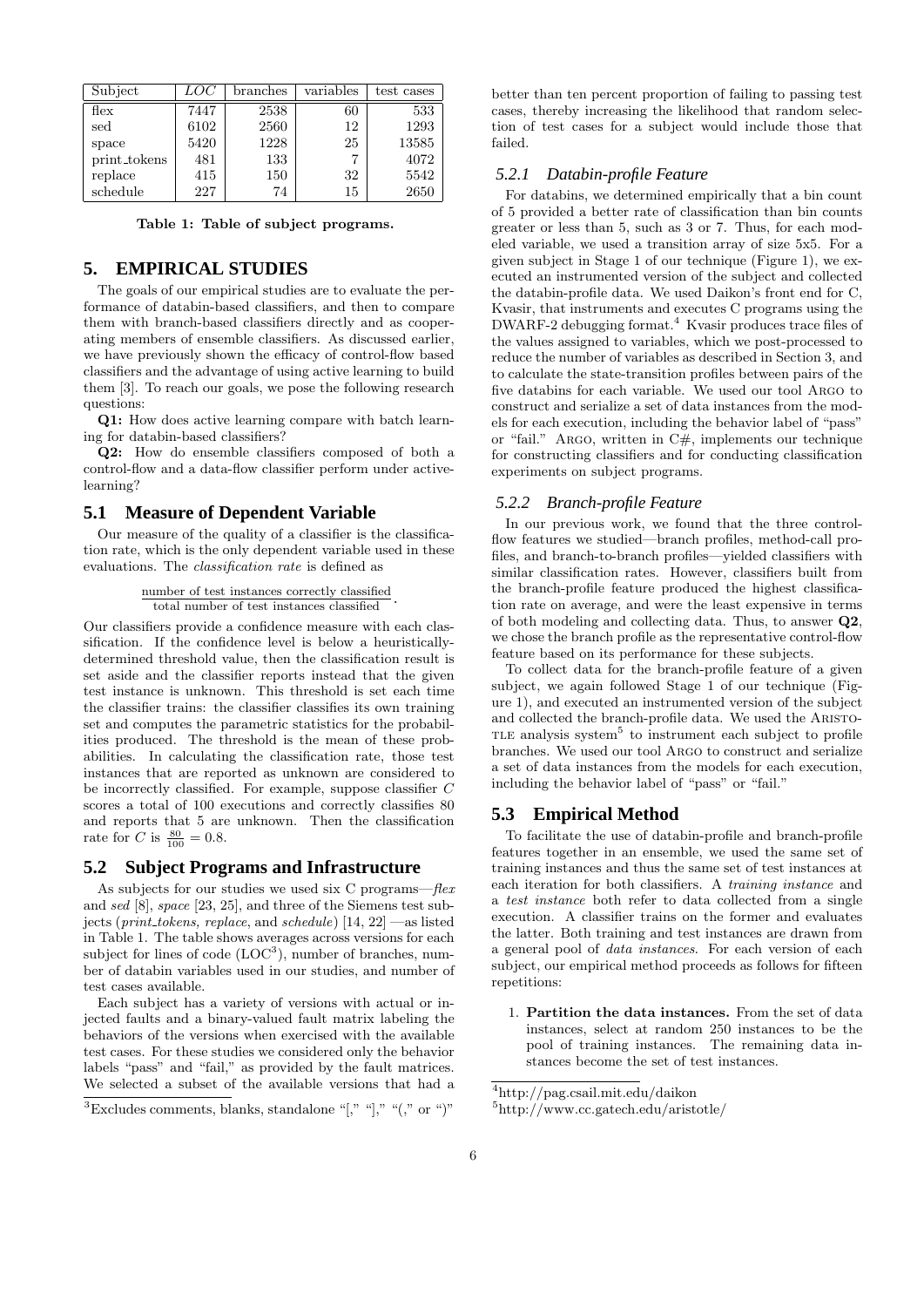| Subject          | LOC  | branches | variables | test cases |
|------------------|------|----------|-----------|------------|
| $_{\text{flex}}$ | 7447 | 2538     | 60        | 533        |
| sed              | 6102 | 2560     | 12        | 1293       |
| space            | 5420 | 1228     | 25        | 13585      |
| print_tokens     | 481  | 133      |           | 4072       |
| replace          | 415  | 150      | 32        | 5542       |
| schedule         | 227  | 74       | 15        | 2650       |

Table 1: Table of subject programs.

## **5. EMPIRICAL STUDIES**

The goals of our empirical studies are to evaluate the performance of databin-based classifiers, and then to compare them with branch-based classifiers directly and as cooperating members of ensemble classifiers. As discussed earlier, we have previously shown the efficacy of control-flow based classifiers and the advantage of using active learning to build them [3]. To reach our goals, we pose the following research questions:

Q1: How does active learning compare with batch learning for databin-based classifiers?

Q2: How do ensemble classifiers composed of both a control-flow and a data-flow classifier perform under activelearning?

#### **5.1 Measure of Dependent Variable**

Our measure of the quality of a classifier is the classification rate, which is the only dependent variable used in these evaluations. The classification rate is defined as

```
number of test instances correctly classified
total number of test instances classified .
```
Our classifiers provide a confidence measure with each classification. If the confidence level is below a heuristicallydetermined threshold value, then the classification result is set aside and the classifier reports instead that the given test instance is unknown. This threshold is set each time the classifier trains: the classifier classifies its own training set and computes the parametric statistics for the probabilities produced. The threshold is the mean of these probabilities. In calculating the classification rate, those test instances that are reported as unknown are considered to be incorrectly classified. For example, suppose classifier C scores a total of 100 executions and correctly classifies 80 and reports that 5 are unknown. Then the classification rate for *C* is  $\frac{80}{100} = 0.8$ .

#### **5.2 Subject Programs and Infrastructure**

As subjects for our studies we used six C programs—flex and sed [8], space [23, 25], and three of the Siemens test subjects (*print\_tokens, replace,* and *schedule*) [14, 22] —as listed in Table 1. The table shows averages across versions for each subject for lines of code  $(LOC^3)$ , number of branches, number of databin variables used in our studies, and number of test cases available.

Each subject has a variety of versions with actual or injected faults and a binary-valued fault matrix labeling the behaviors of the versions when exercised with the available test cases. For these studies we considered only the behavior labels "pass" and "fail," as provided by the fault matrices. We selected a subset of the available versions that had a

better than ten percent proportion of failing to passing test cases, thereby increasing the likelihood that random selection of test cases for a subject would include those that failed.

#### *5.2.1 Databin-profile Feature*

For databins, we determined empirically that a bin count of 5 provided a better rate of classification than bin counts greater or less than 5, such as 3 or 7. Thus, for each modeled variable, we used a transition array of size 5x5. For a given subject in Stage 1 of our technique (Figure 1), we executed an instrumented version of the subject and collected the databin-profile data. We used Daikon's front end for C, Kvasir, that instruments and executes C programs using the DWARF-2 debugging format.<sup>4</sup> Kvasir produces trace files of the values assigned to variables, which we post-processed to reduce the number of variables as described in Section 3, and to calculate the state-transition profiles between pairs of the five databins for each variable. We used our tool Argo to construct and serialize a set of data instances from the models for each execution, including the behavior label of "pass" or "fail." ARGO, written in  $C#$ , implements our technique for constructing classifiers and for conducting classification experiments on subject programs.

#### *5.2.2 Branch-profile Feature*

In our previous work, we found that the three controlflow features we studied—branch profiles, method-call profiles, and branch-to-branch profiles—yielded classifiers with similar classification rates. However, classifiers built from the branch-profile feature produced the highest classification rate on average, and were the least expensive in terms of both modeling and collecting data. Thus, to answer Q2, we chose the branch profile as the representative control-flow feature based on its performance for these subjects.

To collect data for the branch-profile feature of a given subject, we again followed Stage 1 of our technique (Figure 1), and executed an instrumented version of the subject and collected the branch-profile data. We used the Aristo-TLE analysis system<sup>5</sup> to instrument each subject to profile branches. We used our tool Argo to construct and serialize a set of data instances from the models for each execution, including the behavior label of "pass" or "fail."

## **5.3 Empirical Method**

To facilitate the use of databin-profile and branch-profile features together in an ensemble, we used the same set of training instances and thus the same set of test instances at each iteration for both classifiers. A training instance and a test instance both refer to data collected from a single execution. A classifier trains on the former and evaluates the latter. Both training and test instances are drawn from a general pool of data instances. For each version of each subject, our empirical method proceeds as follows for fifteen repetitions:

1. Partition the data instances. From the set of data instances, select at random 250 instances to be the pool of training instances. The remaining data instances become the set of test instances.

 ${}^{3}$ Excludes comments, blanks, standalone "[," "]," "(," or ")"

<sup>4</sup>http://pag.csail.mit.edu/daikon

<sup>5</sup>http://www.cc.gatech.edu/aristotle/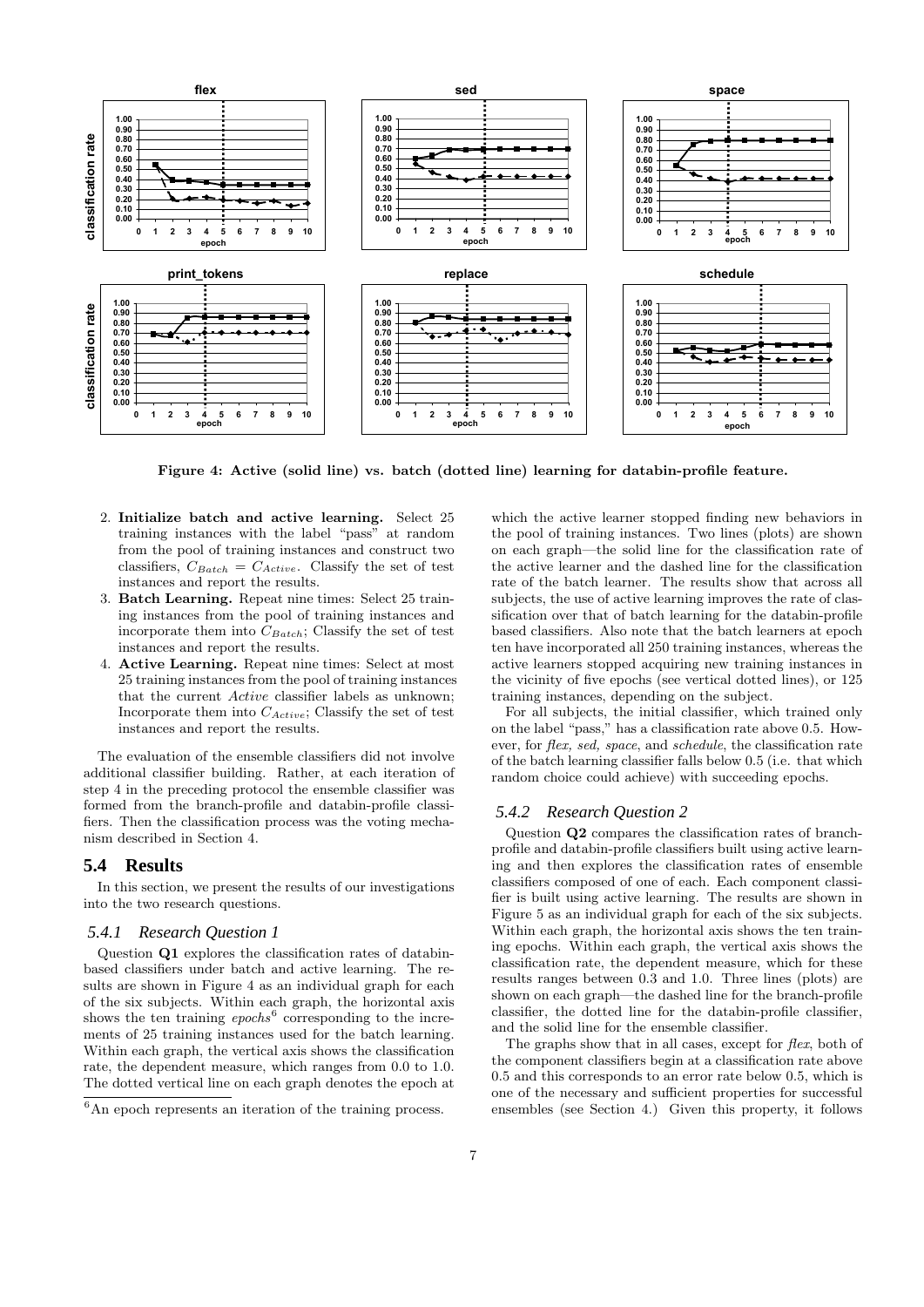

Figure 4: Active (solid line) vs. batch (dotted line) learning for databin-profile feature.

- 2. Initialize batch and active learning. Select 25 training instances with the label "pass" at random from the pool of training instances and construct two classifiers,  $C_{Batch} = C_{Active}$ . Classify the set of test instances and report the results.
- 3. Batch Learning. Repeat nine times: Select 25 training instances from the pool of training instances and incorporate them into  $C_{Batch}$ ; Classify the set of test instances and report the results.
- 4. Active Learning. Repeat nine times: Select at most 25 training instances from the pool of training instances that the current Active classifier labels as unknown; Incorporate them into  $C_{Active}$ ; Classify the set of test instances and report the results.

The evaluation of the ensemble classifiers did not involve additional classifier building. Rather, at each iteration of step 4 in the preceding protocol the ensemble classifier was formed from the branch-profile and databin-profile classifiers. Then the classification process was the voting mechanism described in Section 4.

#### **5.4 Results**

In this section, we present the results of our investigations into the two research questions.

#### *5.4.1 Research Question 1*

Question Q1 explores the classification rates of databinbased classifiers under batch and active learning. The results are shown in Figure 4 as an individual graph for each of the six subjects. Within each graph, the horizontal axis shows the ten training  $epochs^6$  corresponding to the increments of 25 training instances used for the batch learning. Within each graph, the vertical axis shows the classification rate, the dependent measure, which ranges from 0.0 to 1.0. The dotted vertical line on each graph denotes the epoch at

which the active learner stopped finding new behaviors in the pool of training instances. Two lines (plots) are shown on each graph—the solid line for the classification rate of the active learner and the dashed line for the classification rate of the batch learner. The results show that across all subjects, the use of active learning improves the rate of classification over that of batch learning for the databin-profile based classifiers. Also note that the batch learners at epoch ten have incorporated all 250 training instances, whereas the active learners stopped acquiring new training instances in the vicinity of five epochs (see vertical dotted lines), or 125 training instances, depending on the subject.

For all subjects, the initial classifier, which trained only on the label "pass," has a classification rate above 0.5. However, for flex, sed, space, and schedule, the classification rate of the batch learning classifier falls below 0.5 (i.e. that which random choice could achieve) with succeeding epochs.

#### *5.4.2 Research Question 2*

Question Q2 compares the classification rates of branchprofile and databin-profile classifiers built using active learning and then explores the classification rates of ensemble classifiers composed of one of each. Each component classifier is built using active learning. The results are shown in Figure 5 as an individual graph for each of the six subjects. Within each graph, the horizontal axis shows the ten training epochs. Within each graph, the vertical axis shows the classification rate, the dependent measure, which for these results ranges between 0.3 and 1.0. Three lines (plots) are shown on each graph—the dashed line for the branch-profile classifier, the dotted line for the databin-profile classifier, and the solid line for the ensemble classifier.

The graphs show that in all cases, except for flex, both of the component classifiers begin at a classification rate above 0.5 and this corresponds to an error rate below 0.5, which is one of the necessary and sufficient properties for successful ensembles (see Section 4.) Given this property, it follows

 ${}^{6}$ An epoch represents an iteration of the training process.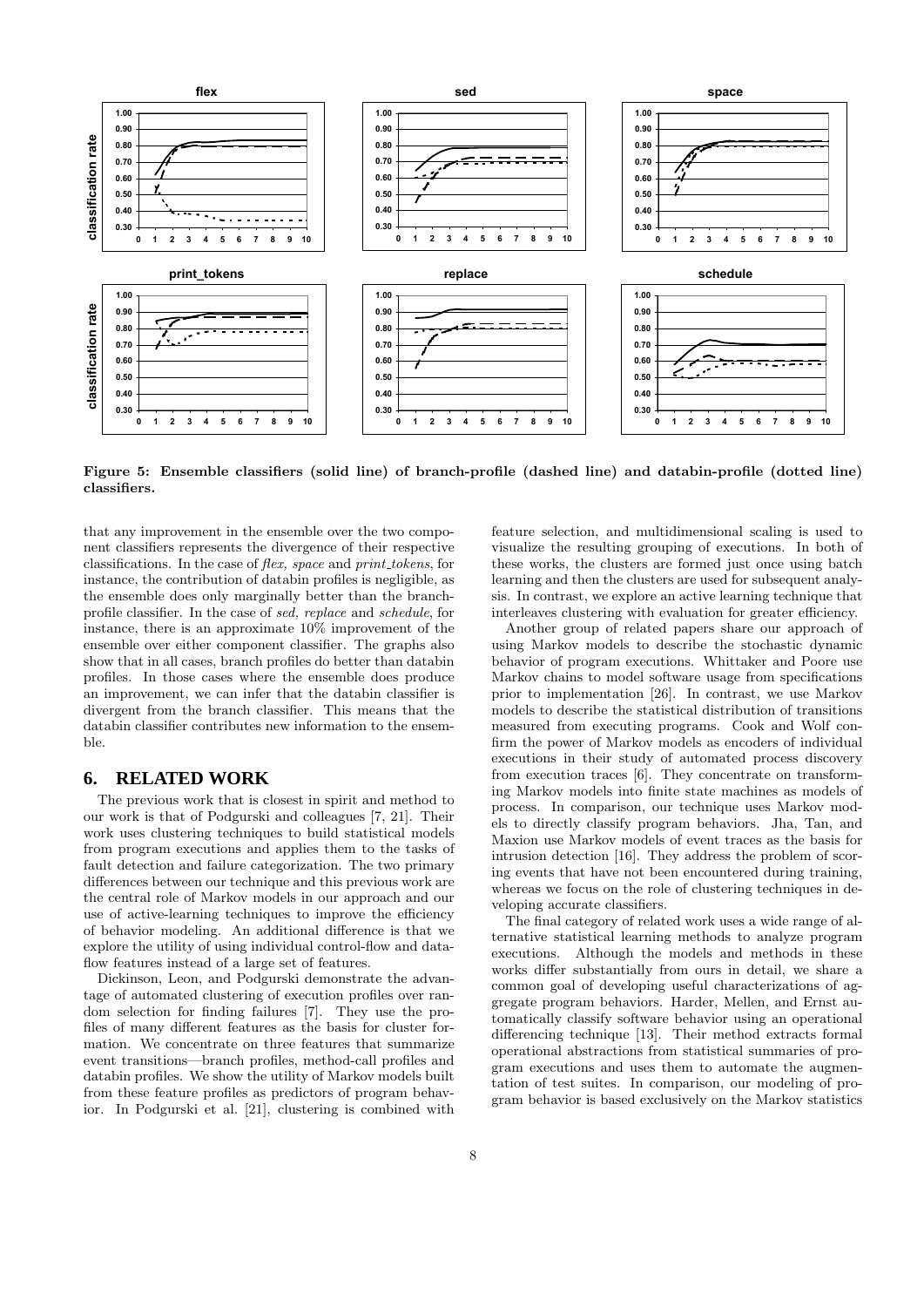

Figure 5: Ensemble classifiers (solid line) of branch-profile (dashed line) and databin-profile (dotted line) classifiers.

that any improvement in the ensemble over the two component classifiers represents the divergence of their respective classifications. In the case of *flex, space* and *print\_tokens*, for instance, the contribution of databin profiles is negligible, as the ensemble does only marginally better than the branchprofile classifier. In the case of sed, replace and schedule, for instance, there is an approximate 10% improvement of the ensemble over either component classifier. The graphs also show that in all cases, branch profiles do better than databin profiles. In those cases where the ensemble does produce an improvement, we can infer that the databin classifier is divergent from the branch classifier. This means that the databin classifier contributes new information to the ensemble.

## **6. RELATED WORK**

The previous work that is closest in spirit and method to our work is that of Podgurski and colleagues [7, 21]. Their work uses clustering techniques to build statistical models from program executions and applies them to the tasks of fault detection and failure categorization. The two primary differences between our technique and this previous work are the central role of Markov models in our approach and our use of active-learning techniques to improve the efficiency of behavior modeling. An additional difference is that we explore the utility of using individual control-flow and dataflow features instead of a large set of features.

Dickinson, Leon, and Podgurski demonstrate the advantage of automated clustering of execution profiles over random selection for finding failures [7]. They use the profiles of many different features as the basis for cluster formation. We concentrate on three features that summarize event transitions—branch profiles, method-call profiles and databin profiles. We show the utility of Markov models built from these feature profiles as predictors of program behavior. In Podgurski et al. [21], clustering is combined with

feature selection, and multidimensional scaling is used to visualize the resulting grouping of executions. In both of these works, the clusters are formed just once using batch learning and then the clusters are used for subsequent analysis. In contrast, we explore an active learning technique that interleaves clustering with evaluation for greater efficiency.

Another group of related papers share our approach of using Markov models to describe the stochastic dynamic behavior of program executions. Whittaker and Poore use Markov chains to model software usage from specifications prior to implementation [26]. In contrast, we use Markov models to describe the statistical distribution of transitions measured from executing programs. Cook and Wolf confirm the power of Markov models as encoders of individual executions in their study of automated process discovery from execution traces [6]. They concentrate on transforming Markov models into finite state machines as models of process. In comparison, our technique uses Markov models to directly classify program behaviors. Jha, Tan, and Maxion use Markov models of event traces as the basis for intrusion detection [16]. They address the problem of scoring events that have not been encountered during training, whereas we focus on the role of clustering techniques in developing accurate classifiers.

The final category of related work uses a wide range of alternative statistical learning methods to analyze program executions. Although the models and methods in these works differ substantially from ours in detail, we share a common goal of developing useful characterizations of aggregate program behaviors. Harder, Mellen, and Ernst automatically classify software behavior using an operational differencing technique [13]. Their method extracts formal operational abstractions from statistical summaries of program executions and uses them to automate the augmentation of test suites. In comparison, our modeling of program behavior is based exclusively on the Markov statistics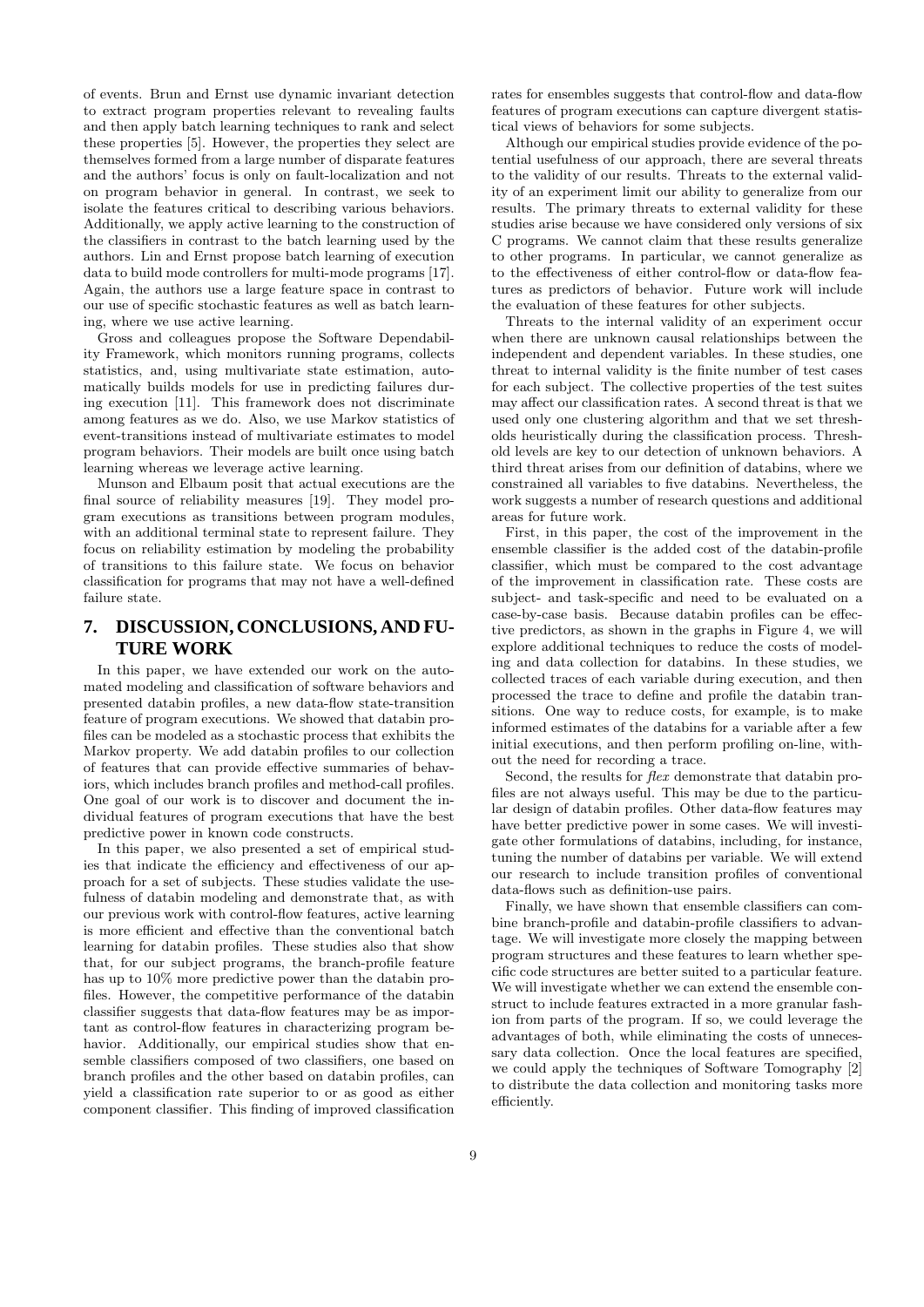of events. Brun and Ernst use dynamic invariant detection to extract program properties relevant to revealing faults and then apply batch learning techniques to rank and select these properties [5]. However, the properties they select are themselves formed from a large number of disparate features and the authors' focus is only on fault-localization and not on program behavior in general. In contrast, we seek to isolate the features critical to describing various behaviors. Additionally, we apply active learning to the construction of the classifiers in contrast to the batch learning used by the authors. Lin and Ernst propose batch learning of execution data to build mode controllers for multi-mode programs [17]. Again, the authors use a large feature space in contrast to our use of specific stochastic features as well as batch learning, where we use active learning.

Gross and colleagues propose the Software Dependability Framework, which monitors running programs, collects statistics, and, using multivariate state estimation, automatically builds models for use in predicting failures during execution [11]. This framework does not discriminate among features as we do. Also, we use Markov statistics of event-transitions instead of multivariate estimates to model program behaviors. Their models are built once using batch learning whereas we leverage active learning.

Munson and Elbaum posit that actual executions are the final source of reliability measures [19]. They model program executions as transitions between program modules, with an additional terminal state to represent failure. They focus on reliability estimation by modeling the probability of transitions to this failure state. We focus on behavior classification for programs that may not have a well-defined failure state.

# **7. DISCUSSION, CONCLUSIONS, AND FU-TURE WORK**

In this paper, we have extended our work on the automated modeling and classification of software behaviors and presented databin profiles, a new data-flow state-transition feature of program executions. We showed that databin profiles can be modeled as a stochastic process that exhibits the Markov property. We add databin profiles to our collection of features that can provide effective summaries of behaviors, which includes branch profiles and method-call profiles. One goal of our work is to discover and document the individual features of program executions that have the best predictive power in known code constructs.

In this paper, we also presented a set of empirical studies that indicate the efficiency and effectiveness of our approach for a set of subjects. These studies validate the usefulness of databin modeling and demonstrate that, as with our previous work with control-flow features, active learning is more efficient and effective than the conventional batch learning for databin profiles. These studies also that show that, for our subject programs, the branch-profile feature has up to  $10\%$  more predictive power than the databin profiles. However, the competitive performance of the databin classifier suggests that data-flow features may be as important as control-flow features in characterizing program behavior. Additionally, our empirical studies show that ensemble classifiers composed of two classifiers, one based on branch profiles and the other based on databin profiles, can yield a classification rate superior to or as good as either component classifier. This finding of improved classification

rates for ensembles suggests that control-flow and data-flow features of program executions can capture divergent statistical views of behaviors for some subjects.

Although our empirical studies provide evidence of the potential usefulness of our approach, there are several threats to the validity of our results. Threats to the external validity of an experiment limit our ability to generalize from our results. The primary threats to external validity for these studies arise because we have considered only versions of six C programs. We cannot claim that these results generalize to other programs. In particular, we cannot generalize as to the effectiveness of either control-flow or data-flow features as predictors of behavior. Future work will include the evaluation of these features for other subjects.

Threats to the internal validity of an experiment occur when there are unknown causal relationships between the independent and dependent variables. In these studies, one threat to internal validity is the finite number of test cases for each subject. The collective properties of the test suites may affect our classification rates. A second threat is that we used only one clustering algorithm and that we set thresholds heuristically during the classification process. Threshold levels are key to our detection of unknown behaviors. A third threat arises from our definition of databins, where we constrained all variables to five databins. Nevertheless, the work suggests a number of research questions and additional areas for future work.

First, in this paper, the cost of the improvement in the ensemble classifier is the added cost of the databin-profile classifier, which must be compared to the cost advantage of the improvement in classification rate. These costs are subject- and task-specific and need to be evaluated on a case-by-case basis. Because databin profiles can be effective predictors, as shown in the graphs in Figure 4, we will explore additional techniques to reduce the costs of modeling and data collection for databins. In these studies, we collected traces of each variable during execution, and then processed the trace to define and profile the databin transitions. One way to reduce costs, for example, is to make informed estimates of the databins for a variable after a few initial executions, and then perform profiling on-line, without the need for recording a trace.

Second, the results for *flex* demonstrate that databin profiles are not always useful. This may be due to the particular design of databin profiles. Other data-flow features may have better predictive power in some cases. We will investigate other formulations of databins, including, for instance, tuning the number of databins per variable. We will extend our research to include transition profiles of conventional data-flows such as definition-use pairs.

Finally, we have shown that ensemble classifiers can combine branch-profile and databin-profile classifiers to advantage. We will investigate more closely the mapping between program structures and these features to learn whether specific code structures are better suited to a particular feature. We will investigate whether we can extend the ensemble construct to include features extracted in a more granular fashion from parts of the program. If so, we could leverage the advantages of both, while eliminating the costs of unnecessary data collection. Once the local features are specified, we could apply the techniques of Software Tomography [2] to distribute the data collection and monitoring tasks more efficiently.